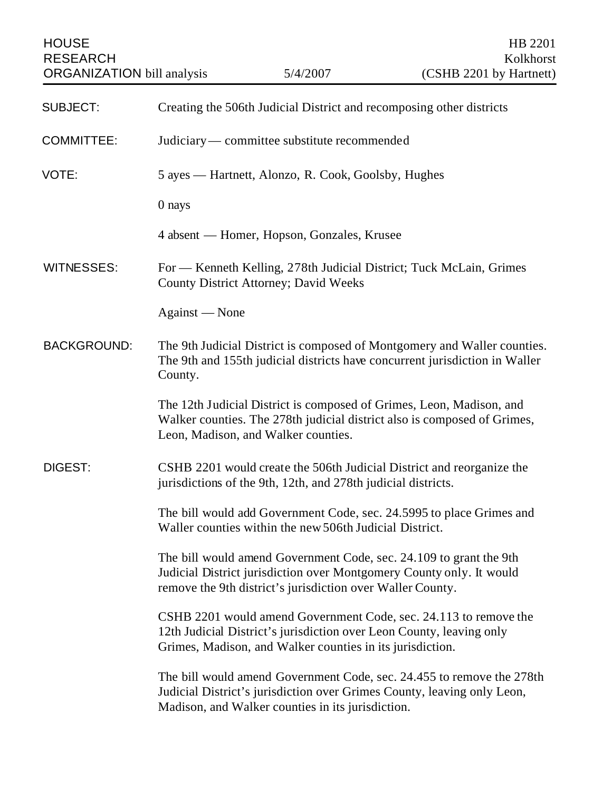| <b>HOUSE</b><br><b>RESEARCH</b><br><b>ORGANIZATION</b> bill analysis |                                                                                                                                                                                                          | 5/4/2007                                          | HB 2201<br>Kolkhorst<br>(CSHB 2201 by Hartnett)                                                                                                  |  |
|----------------------------------------------------------------------|----------------------------------------------------------------------------------------------------------------------------------------------------------------------------------------------------------|---------------------------------------------------|--------------------------------------------------------------------------------------------------------------------------------------------------|--|
| <b>SUBJECT:</b>                                                      | Creating the 506th Judicial District and recomposing other districts                                                                                                                                     |                                                   |                                                                                                                                                  |  |
| <b>COMMITTEE:</b>                                                    | Judiciary — committee substitute recommended                                                                                                                                                             |                                                   |                                                                                                                                                  |  |
| VOTE:                                                                | 5 ayes — Hartnett, Alonzo, R. Cook, Goolsby, Hughes                                                                                                                                                      |                                                   |                                                                                                                                                  |  |
|                                                                      | 0 nays                                                                                                                                                                                                   |                                                   |                                                                                                                                                  |  |
|                                                                      |                                                                                                                                                                                                          | 4 absent — Homer, Hopson, Gonzales, Krusee        |                                                                                                                                                  |  |
| <b>WITNESSES:</b>                                                    | For — Kenneth Kelling, 278th Judicial District; Tuck McLain, Grimes<br><b>County District Attorney; David Weeks</b>                                                                                      |                                                   |                                                                                                                                                  |  |
|                                                                      | Against - None                                                                                                                                                                                           |                                                   |                                                                                                                                                  |  |
| <b>BACKGROUND:</b>                                                   | The 9th Judicial District is composed of Montgomery and Waller counties.<br>The 9th and 155th judicial districts have concurrent jurisdiction in Waller<br>County.                                       |                                                   |                                                                                                                                                  |  |
|                                                                      |                                                                                                                                                                                                          | Leon, Madison, and Walker counties.               | The 12th Judicial District is composed of Grimes, Leon, Madison, and<br>Walker counties. The 278th judicial district also is composed of Grimes, |  |
| <b>DIGEST:</b>                                                       | CSHB 2201 would create the 506th Judicial District and reorganize the<br>jurisdictions of the 9th, 12th, and 278th judicial districts.                                                                   |                                                   |                                                                                                                                                  |  |
|                                                                      | The bill would add Government Code, sec. 24.5995 to place Grimes and<br>Waller counties within the new 506th Judicial District.                                                                          |                                                   |                                                                                                                                                  |  |
|                                                                      | The bill would amend Government Code, sec. 24.109 to grant the 9th<br>Judicial District jurisdiction over Montgomery County only. It would<br>remove the 9th district's jurisdiction over Waller County. |                                                   |                                                                                                                                                  |  |
|                                                                      | CSHB 2201 would amend Government Code, sec. 24.113 to remove the<br>12th Judicial District's jurisdiction over Leon County, leaving only<br>Grimes, Madison, and Walker counties in its jurisdiction.    |                                                   |                                                                                                                                                  |  |
|                                                                      |                                                                                                                                                                                                          | Madison, and Walker counties in its jurisdiction. | The bill would amend Government Code, sec. 24.455 to remove the 278th<br>Judicial District's jurisdiction over Grimes County, leaving only Leon, |  |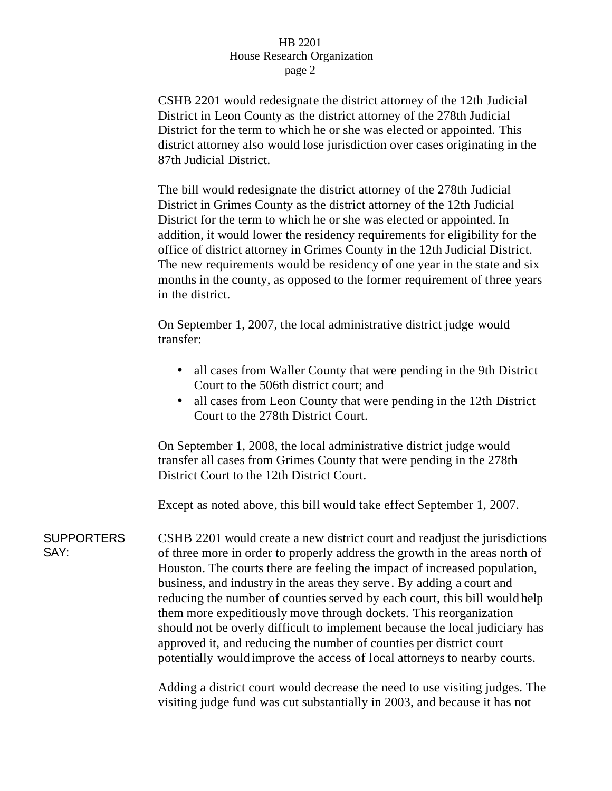## HB 2201 House Research Organization page 2

CSHB 2201 would redesignate the district attorney of the 12th Judicial District in Leon County as the district attorney of the 278th Judicial District for the term to which he or she was elected or appointed. This district attorney also would lose jurisdiction over cases originating in the 87th Judicial District.

The bill would redesignate the district attorney of the 278th Judicial District in Grimes County as the district attorney of the 12th Judicial District for the term to which he or she was elected or appointed. In addition, it would lower the residency requirements for eligibility for the office of district attorney in Grimes County in the 12th Judicial District. The new requirements would be residency of one year in the state and six months in the county, as opposed to the former requirement of three years in the district.

On September 1, 2007, the local administrative district judge would transfer:

- all cases from Waller County that were pending in the 9th District Court to the 506th district court; and
- all cases from Leon County that were pending in the 12th District Court to the 278th District Court.

On September 1, 2008, the local administrative district judge would transfer all cases from Grimes County that were pending in the 278th District Court to the 12th District Court.

Except as noted above, this bill would take effect September 1, 2007.

**SUPPORTERS** SAY: CSHB 2201 would create a new district court and readjust the jurisdictions of three more in order to properly address the growth in the areas north of Houston. The courts there are feeling the impact of increased population, business, and industry in the areas they serve . By adding a court and reducing the number of counties served by each court, this bill would help them more expeditiously move through dockets. This reorganization should not be overly difficult to implement because the local judiciary has approved it, and reducing the number of counties per district court potentially would improve the access of local attorneys to nearby courts.

> Adding a district court would decrease the need to use visiting judges. The visiting judge fund was cut substantially in 2003, and because it has not